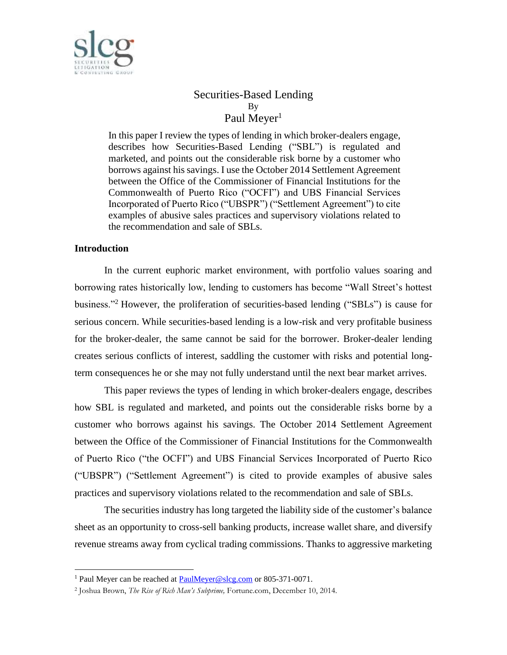

# Securities-Based Lending By Paul Meyer<sup>1</sup>

In this paper I review the types of lending in which broker-dealers engage, describes how Securities-Based Lending ("SBL") is regulated and marketed, and points out the considerable risk borne by a customer who borrows against his savings. I use the October 2014 Settlement Agreement between the Office of the Commissioner of Financial Institutions for the Commonwealth of Puerto Rico ("OCFI") and UBS Financial Services Incorporated of Puerto Rico ("UBSPR") ("Settlement Agreement") to cite examples of abusive sales practices and supervisory violations related to the recommendation and sale of SBLs.

## **Introduction**

 $\overline{a}$ 

In the current euphoric market environment, with portfolio values soaring and borrowing rates historically low, lending to customers has become "Wall Street's hottest business."<sup>2</sup> However, the proliferation of securities-based lending ("SBLs") is cause for serious concern. While securities-based lending is a low-risk and very profitable business for the broker-dealer, the same cannot be said for the borrower. Broker-dealer lending creates serious conflicts of interest, saddling the customer with risks and potential longterm consequences he or she may not fully understand until the next bear market arrives.

This paper reviews the types of lending in which broker-dealers engage, describes how SBL is regulated and marketed, and points out the considerable risks borne by a customer who borrows against his savings. The October 2014 Settlement Agreement between the Office of the Commissioner of Financial Institutions for the Commonwealth of Puerto Rico ("the OCFI") and UBS Financial Services Incorporated of Puerto Rico ("UBSPR") ("Settlement Agreement") is cited to provide examples of abusive sales practices and supervisory violations related to the recommendation and sale of SBLs.

The securities industry has long targeted the liability side of the customer's balance sheet as an opportunity to cross-sell banking products, increase wallet share, and diversify revenue streams away from cyclical trading commissions. Thanks to aggressive marketing

<sup>&</sup>lt;sup>1</sup> Paul Meyer can be reached at [PaulMeyer@slcg.com](mailto:PaulMeyer@slcg.com) or 805-371-0071.

<sup>2</sup> Joshua Brown, *The Rise of Rich Man's Subprime,* Fortune.com, December 10, 2014.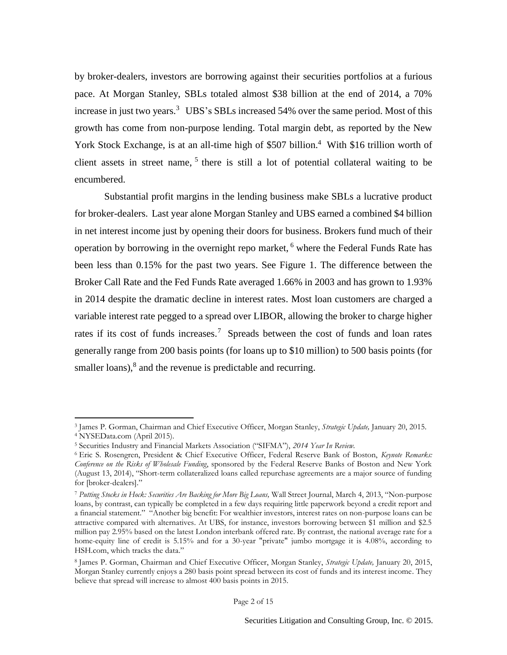by broker-dealers, investors are borrowing against their securities portfolios at a furious pace. At Morgan Stanley, SBLs totaled almost \$38 billion at the end of 2014, a 70% increase in just two years.<sup>3</sup> UBS's SBLs increased 54% over the same period. Most of this growth has come from non-purpose lending. Total margin debt, as reported by the New York Stock Exchange, is at an all-time high of \$507 billion.<sup>4</sup> With \$16 trillion worth of client assets in street name, 5 there is still a lot of potential collateral waiting to be encumbered.

Substantial profit margins in the lending business make SBLs a lucrative product for broker-dealers. Last year alone Morgan Stanley and UBS earned a combined \$4 billion in net interest income just by opening their doors for business. Brokers fund much of their operation by borrowing in the overnight repo market,  $6$  where the Federal Funds Rate has been less than 0.15% for the past two years. See Figure 1. The difference between the Broker Call Rate and the Fed Funds Rate averaged 1.66% in 2003 and has grown to 1.93% in 2014 despite the dramatic decline in interest rates. Most loan customers are charged a variable interest rate pegged to a spread over LIBOR, allowing the broker to charge higher rates if its cost of funds increases.<sup>7</sup> Spreads between the cost of funds and loan rates generally range from 200 basis points (for loans up to \$10 million) to 500 basis points (for smaller loans),<sup>8</sup> and the revenue is predictable and recurring.

l

<sup>3</sup> James P. Gorman, Chairman and Chief Executive Officer, Morgan Stanley, *Strategic Update,* January 20, 2015. <sup>4</sup> NYSEData.com (April 2015).

<sup>5</sup> Securities Industry and Financial Markets Association ("SIFMA"), *2014 Year In Review.*

<sup>6</sup> Eric S. Rosengren, President & Chief Executive Officer, Federal Reserve Bank of Boston, *Keynote Remarks: Conference on the Risks of Wholesale Funding*, sponsored by the Federal Reserve Banks of Boston and New York (August 13, 2014), "Short-term collateralized loans called repurchase agreements are a major source of funding for [broker-dealers]."

<sup>7</sup> *Putting Stocks in Hock: Securities Are Backing for More Big Loans,* Wall Street Journal, March 4, 2013, "Non-purpose loans, by contrast, can typically be completed in a few days requiring little paperwork beyond a credit report and a financial statement." "Another big benefit: For wealthier investors, interest rates on non-purpose loans can be attractive compared with alternatives. At UBS, for instance, investors borrowing between \$1 million and \$2.5 million pay 2.95% based on the latest London interbank offered rate. By contrast, the national average rate for a home-equity line of credit is 5.15% and for a 30-year "private" jumbo mortgage it is 4.08%, according to [HSH.com](http://hsh.com/), which tracks the data."

<sup>8</sup> James P. Gorman, Chairman and Chief Executive Officer, Morgan Stanley, *Strategic Update,* January 20, 2015, Morgan Stanley currently enjoys a 280 basis point spread between its cost of funds and its interest income. They believe that spread will increase to almost 400 basis points in 2015.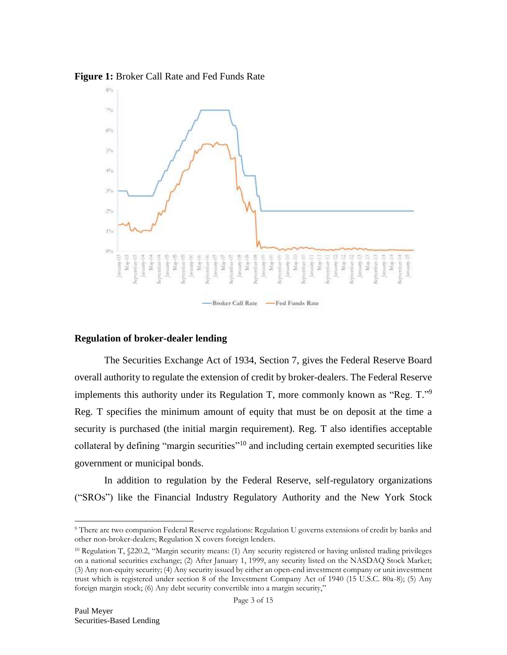



# **Regulation of broker-dealer lending**

The Securities Exchange Act of 1934, Section 7, gives the Federal Reserve Board overall authority to regulate the extension of credit by broker-dealers. The Federal Reserve implements this authority under its Regulation T, more commonly known as "Reg. T."<sup>9</sup> Reg. T specifies the minimum amount of equity that must be on deposit at the time a security is purchased (the initial margin requirement). Reg. T also identifies acceptable collateral by defining "margin securities"<sup>10</sup> and including certain exempted securities like government or municipal bonds.

In addition to regulation by the Federal Reserve, self-regulatory organizations ("SROs") like the Financial Industry Regulatory Authority and the New York Stock

<sup>9</sup> There are two companion Federal Reserve regulations: Regulation U governs extensions of credit by banks and other non-broker-dealers; Regulation X covers foreign lenders.

<sup>10</sup> Regulation T, §220.2, "Margin security means: (1) Any security registered or having unlisted trading privileges on a national securities exchange; (2) After January 1, 1999, any security listed on the NASDAQ Stock Market; (3) Any non-equity security; (4) Any security issued by either an open-end investment company or unit investment trust which is registered under section 8 of the Investment Company Act of 1940 (15 U.S.C. 80a-8); (5) Any foreign margin stock; (6) Any debt security convertible into a margin security,"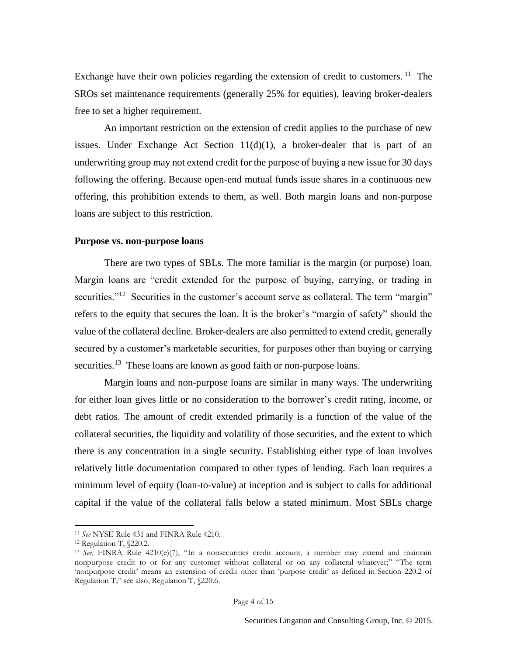Exchange have their own policies regarding the extension of credit to customers.  $11$  The SROs set maintenance requirements (generally 25% for equities), leaving broker-dealers free to set a higher requirement.

An important restriction on the extension of credit applies to the purchase of new issues. Under Exchange Act Section  $11(d)(1)$ , a broker-dealer that is part of an underwriting group may not extend credit for the purpose of buying a new issue for 30 days following the offering. Because open-end mutual funds issue shares in a continuous new offering, this prohibition extends to them, as well. Both margin loans and non-purpose loans are subject to this restriction.

## **Purpose vs. non-purpose loans**

There are two types of SBLs. The more familiar is the margin (or purpose) loan. Margin loans are "credit extended for the purpose of buying, carrying, or trading in securities."<sup>12</sup> Securities in the customer's account serve as collateral. The term "margin" refers to the equity that secures the loan. It is the broker's "margin of safety" should the value of the collateral decline. Broker-dealers are also permitted to extend credit, generally secured by a customer's marketable securities, for purposes other than buying or carrying securities.<sup>13</sup> These loans are known as good faith or non-purpose loans.

Margin loans and non-purpose loans are similar in many ways. The underwriting for either loan gives little or no consideration to the borrower's credit rating, income, or debt ratios. The amount of credit extended primarily is a function of the value of the collateral securities, the liquidity and volatility of those securities, and the extent to which there is any concentration in a single security. Establishing either type of loan involves relatively little documentation compared to other types of lending. Each loan requires a minimum level of equity (loan-to-value) at inception and is subject to calls for additional capital if the value of the collateral falls below a stated minimum. Most SBLs charge

<sup>11</sup> *See* NYSE Rule 431 and FINRA Rule 4210.

<sup>12</sup> Regulation T, §220.2.

<sup>13</sup> *See*, FINRA Rule 4210(e)(7), "In a nonsecurities credit account, a member may extend and maintain nonpurpose credit to or for any customer without collateral or on any collateral whatever;" "The term 'nonpurpose credit' means an extension of credit other than 'purpose credit' as defined in Section 220.2 of Regulation T;" see also, Regulation T, §220.6.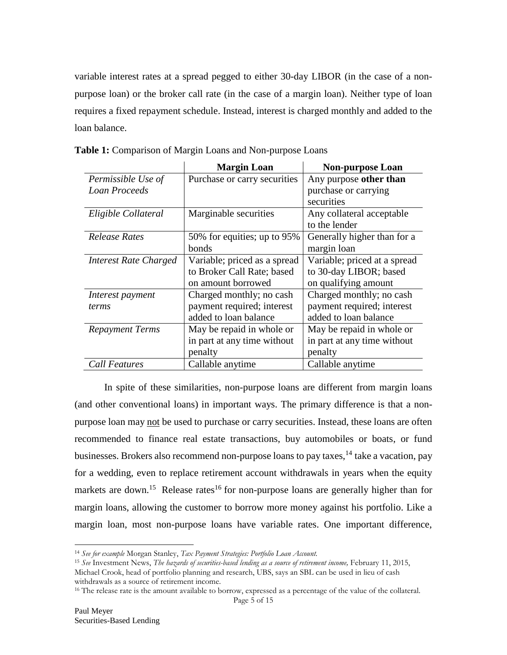variable interest rates at a spread pegged to either 30-day LIBOR (in the case of a nonpurpose loan) or the broker call rate (in the case of a margin loan). Neither type of loan requires a fixed repayment schedule. Instead, interest is charged monthly and added to the loan balance.

|                        | <b>Margin Loan</b>           | <b>Non-purpose Loan</b>      |
|------------------------|------------------------------|------------------------------|
| Permissible Use of     | Purchase or carry securities | Any purpose other than       |
| <b>Loan Proceeds</b>   |                              | purchase or carrying         |
|                        |                              | securities                   |
| Eligible Collateral    | Marginable securities        | Any collateral acceptable    |
|                        |                              | to the lender                |
| Release Rates          | 50% for equities; up to 95%  | Generally higher than for a  |
|                        | bonds                        | margin loan                  |
| Interest Rate Charged  | Variable; priced as a spread | Variable; priced at a spread |
|                        | to Broker Call Rate; based   | to 30-day LIBOR; based       |
|                        | on amount borrowed           | on qualifying amount         |
| Interest payment       | Charged monthly; no cash     | Charged monthly; no cash     |
| terms                  | payment required; interest   | payment required; interest   |
|                        | added to loan balance        | added to loan balance        |
| <b>Repayment Terms</b> | May be repaid in whole or    | May be repaid in whole or    |
|                        | in part at any time without  | in part at any time without  |
|                        | penalty                      | penalty                      |
| <b>Call Features</b>   | Callable anytime             | Callable anytime             |

**Table 1:** Comparison of Margin Loans and Non-purpose Loans

In spite of these similarities, non-purpose loans are different from margin loans (and other conventional loans) in important ways. The primary difference is that a nonpurpose loan may not be used to purchase or carry securities. Instead, these loans are often recommended to finance real estate transactions, buy automobiles or boats, or fund businesses. Brokers also recommend non-purpose loans to pay taxes, <sup>14</sup> take a vacation, pay for a wedding, even to replace retirement account withdrawals in years when the equity markets are down.<sup>15</sup> Release rates<sup>16</sup> for non-purpose loans are generally higher than for margin loans, allowing the customer to borrow more money against his portfolio. Like a margin loan, most non-purpose loans have variable rates. One important difference,

<sup>14</sup> *See for example* Morgan Stanley, *Tax Payment Strategies: Portfolio Loan Account.*

<sup>15</sup> *See* Investment News, *The hazards of securities-based lending as a source of retirement income,* February 11, 2015,

Michael Crook, head of portfolio planning and research, UBS, says an SBL can be used in lieu of cash withdrawals as a source of retirement income.

<sup>&</sup>lt;sup>16</sup> The release rate is the amount available to borrow, expressed as a percentage of the value of the collateral.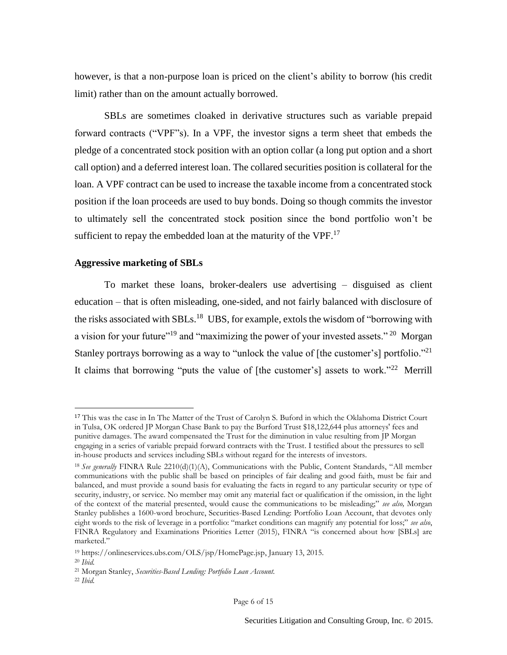however, is that a non-purpose loan is priced on the client's ability to borrow (his credit limit) rather than on the amount actually borrowed.

SBLs are sometimes cloaked in derivative structures such as variable prepaid forward contracts ("VPF"s). In a VPF, the investor signs a term sheet that embeds the pledge of a concentrated stock position with an option collar (a long put option and a short call option) and a deferred interest loan. The collared securities position is collateral for the loan. A VPF contract can be used to increase the taxable income from a concentrated stock position if the loan proceeds are used to buy bonds. Doing so though commits the investor to ultimately sell the concentrated stock position since the bond portfolio won't be sufficient to repay the embedded loan at the maturity of the  $VPF<sup>17</sup>$ .

### **Aggressive marketing of SBLs**

To market these loans, broker-dealers use advertising – disguised as client education – that is often misleading, one-sided, and not fairly balanced with disclosure of the risks associated with SBLs.<sup>18</sup> UBS, for example, extols the wisdom of "borrowing with a vision for your future"<sup>19</sup> and "maximizing the power of your invested assets."<sup>20</sup> Morgan Stanley portrays borrowing as a way to "unlock the value of [the customer's] portfolio."<sup>21</sup> It claims that borrowing "puts the value of [the customer's] assets to work."<sup>22</sup> Merrill

<sup>17</sup> This was the case in In The Matter of the Trust of Carolyn S. Buford in which the Oklahoma District Court in Tulsa, OK ordered JP Morgan Chase Bank to pay the Burford Trust \$18,122,644 plus attorneys' fees and punitive damages. The award compensated the Trust for the diminution in value resulting from JP Morgan engaging in a series of variable prepaid forward contracts with the Trust. I testified about the pressures to sell in-house products and services including SBLs without regard for the interests of investors.

<sup>&</sup>lt;sup>18</sup> See generally FINRA Rule 2210(d)(1)(A), Communications with the Public, Content Standards, "All member communications with the public shall be based on principles of fair dealing and good faith, must be fair and balanced, and must provide a sound basis for evaluating the facts in regard to any particular security or type of security, industry, or service. No member may omit any material fact or qualification if the omission, in the light of the context of the material presented, would cause the communications to be misleading;" *see also,* Morgan Stanley publishes a 1600-word brochure, Securities-Based Lending: Portfolio Loan Account, that devotes only eight words to the risk of leverage in a portfolio: "market conditions can magnify any potential for loss;" *see also*, FINRA Regulatory and Examinations Priorities Letter (2015), FINRA "is concerned about how [SBLs] are marketed."

<sup>19</sup> [https://onlineservices.ubs.com/OLS/jsp/HomePage.jsp,](https://onlineservices.ubs.com/OLS/jsp/HomePage.jsp) January 13, 2015.

<sup>20</sup> *Ibid.*

<sup>21</sup> Morgan Stanley, *Securities-Based Lending: Portfolio Loan Account.*

<sup>22</sup> *Ibid.*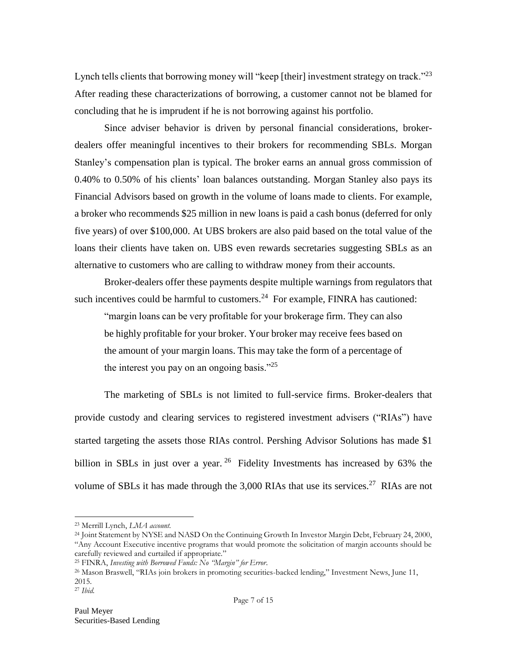Lynch tells clients that borrowing money will "keep [their] investment strategy on track."<sup>23</sup> After reading these characterizations of borrowing, a customer cannot not be blamed for concluding that he is imprudent if he is not borrowing against his portfolio.

Since adviser behavior is driven by personal financial considerations, brokerdealers offer meaningful incentives to their brokers for recommending SBLs. Morgan Stanley's compensation plan is typical. The broker earns an annual gross commission of 0.40% to 0.50% of his clients' loan balances outstanding. Morgan Stanley also pays its Financial Advisors based on growth in the volume of loans made to clients. For example, a broker who recommends \$25 million in new loans is paid a cash bonus (deferred for only five years) of over \$100,000. At UBS brokers are also paid based on the total value of the loans their clients have taken on. UBS even rewards secretaries suggesting SBLs as an alternative to customers who are calling to withdraw money from their accounts.

Broker-dealers offer these payments despite multiple warnings from regulators that such incentives could be harmful to customers.<sup>24</sup> For example, FINRA has cautioned:

"margin loans can be very profitable for your brokerage firm. They can also be highly profitable for your broker. Your broker may receive fees based on the amount of your margin loans. This may take the form of a percentage of the interest you pay on an ongoing basis."<sup>25</sup>

The marketing of SBLs is not limited to full-service firms. Broker-dealers that provide custody and clearing services to registered investment advisers ("RIAs") have started targeting the assets those RIAs control. Pershing Advisor Solutions has made \$1 billion in SBLs in just over a year.  $26$  Fidelity Investments has increased by 63% the volume of SBLs it has made through the  $3,000$  RIAs that use its services.<sup>27</sup> RIAs are not

<sup>23</sup> Merrill Lynch, *LMA account.*

<sup>&</sup>lt;sup>24</sup> Joint Statement by NYSE and NASD On the Continuing Growth In Investor Margin Debt, February 24, 2000, "Any Account Executive incentive programs that would promote the solicitation of margin accounts should be carefully reviewed and curtailed if appropriate."

<sup>25</sup> FINRA, *Investing with Borrowed Funds: No "Margin" for Error*.

<sup>26</sup> Mason Braswell, "RIAs join brokers in promoting securities-backed lending," Investment News, June 11, 2015.

<sup>27</sup> *Ibid.*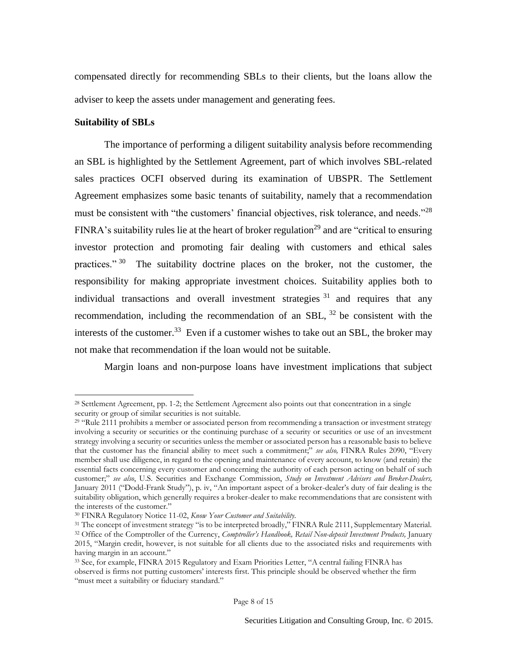compensated directly for recommending SBLs to their clients, but the loans allow the adviser to keep the assets under management and generating fees.

### **Suitability of SBLs**

l

The importance of performing a diligent suitability analysis before recommending an SBL is highlighted by the Settlement Agreement, part of which involves SBL-related sales practices OCFI observed during its examination of UBSPR. The Settlement Agreement emphasizes some basic tenants of suitability, namely that a recommendation must be consistent with "the customers' financial objectives, risk tolerance, and needs."<sup>28</sup> FINRA's suitability rules lie at the heart of broker regulation<sup>29</sup> and are "critical to ensuring" investor protection and promoting fair dealing with customers and ethical sales practices."<sup>30</sup> The suitability doctrine places on the broker, not the customer, the responsibility for making appropriate investment choices. Suitability applies both to individual transactions and overall investment strategies  $31$  and requires that any recommendation, including the recommendation of an SBL,  $32$  be consistent with the interests of the customer.<sup>33</sup> Even if a customer wishes to take out an SBL, the broker may not make that recommendation if the loan would not be suitable.

Margin loans and non-purpose loans have investment implications that subject

<sup>28</sup> Settlement Agreement, pp. 1-2; the Settlement Agreement also points out that concentration in a single security or group of similar securities is not suitable.

<sup>&</sup>lt;sup>29</sup> "Rule 2111 prohibits a member or associated person from recommending a transaction or investment strategy involving a security or securities or the continuing purchase of a security or securities or use of an investment strategy involving a security or securities unless the member or associated person has a reasonable basis to believe that the customer has the financial ability to meet such a commitment;" *see also,* FINRA Rules 2090, "Every member shall use diligence, in regard to the opening and maintenance of every account, to know (and retain) the essential facts concerning every customer and concerning the authority of each person acting on behalf of such customer;" *see also*, U.S. Securities and Exchange Commission, *Study on Investment Advisers and Broker-Dealers,* January 2011 ("Dodd-Frank Study"), p. iv, "An important aspect of a broker-dealer's duty of fair dealing is the suitability obligation, which generally requires a broker-dealer to make recommendations that are consistent with the interests of the customer."

<sup>30</sup> FINRA Regulatory Notice 11-02, *Know Your Customer and Suitability.*

<sup>&</sup>lt;sup>31</sup> The concept of investment strategy "is to be interpreted broadly," FINRA Rule 2111, Supplementary Material. <sup>32</sup> Office of the Comptroller of the Currency, *Comptroller's Handbook, Retail Non-deposit Investment Products,* January 2015, "Margin credit, however, is not suitable for all clients due to the associated risks and requirements with having margin in an account."

<sup>33</sup> See, for example, FINRA 2015 Regulatory and Exam Priorities Letter, "A central failing FINRA has observed is firms not putting customers' interests first. This principle should be observed whether the firm "must meet a suitability or fiduciary standard."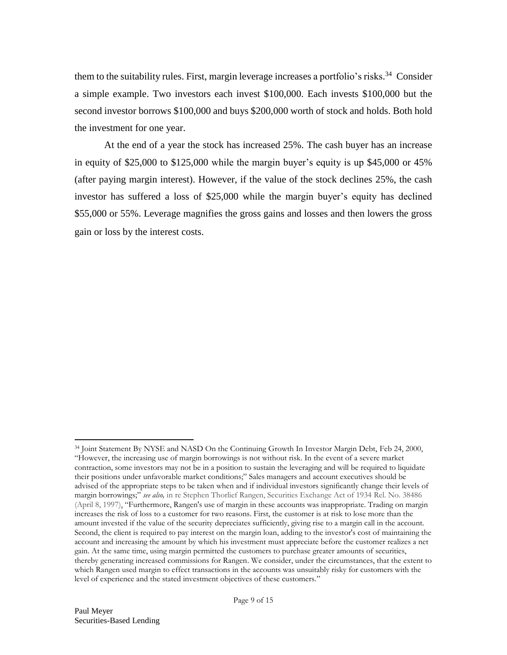them to the suitability rules. First, margin leverage increases a portfolio's risks.<sup>34</sup> Consider a simple example. Two investors each invest \$100,000. Each invests \$100,000 but the second investor borrows \$100,000 and buys \$200,000 worth of stock and holds. Both hold the investment for one year.

At the end of a year the stock has increased 25%. The cash buyer has an increase in equity of \$25,000 to \$125,000 while the margin buyer's equity is up \$45,000 or 45% (after paying margin interest). However, if the value of the stock declines 25%, the cash investor has suffered a loss of \$25,000 while the margin buyer's equity has declined \$55,000 or 55%. Leverage magnifies the gross gains and losses and then lowers the gross gain or loss by the interest costs.

<sup>34</sup> Joint Statement By NYSE and NASD On the Continuing Growth In Investor Margin Debt, Feb 24, 2000, "However, the increasing use of margin borrowings is not without risk. In the event of a severe market contraction, some investors may not be in a position to sustain the leveraging and will be required to liquidate their positions under unfavorable market conditions;" Sales managers and account executives should be advised of the appropriate steps to be taken when and if individual investors significantly change their levels of margin borrowings;" *see also,* in re Stephen Thorlief Rangen, Securities Exchange Act of 1934 Rel. No. 38486 (April 8, 1997), "Furthermore, Rangen's use of margin in these accounts was inappropriate. Trading on margin increases the risk of loss to a customer for two reasons. First, the customer is at risk to lose more than the amount invested if the value of the security depreciates sufficiently, giving rise to a margin call in the account. Second, the client is required to pay interest on the margin loan, adding to the investor's cost of maintaining the account and increasing the amount by which his investment must appreciate before the customer realizes a net gain. At the same time, using margin permitted the customers to purchase greater amounts of securities, thereby generating increased commissions for Rangen. We consider, under the circumstances, that the extent to which Rangen used margin to effect transactions in the accounts was unsuitably risky for customers with the level of experience and the stated investment objectives of these customers."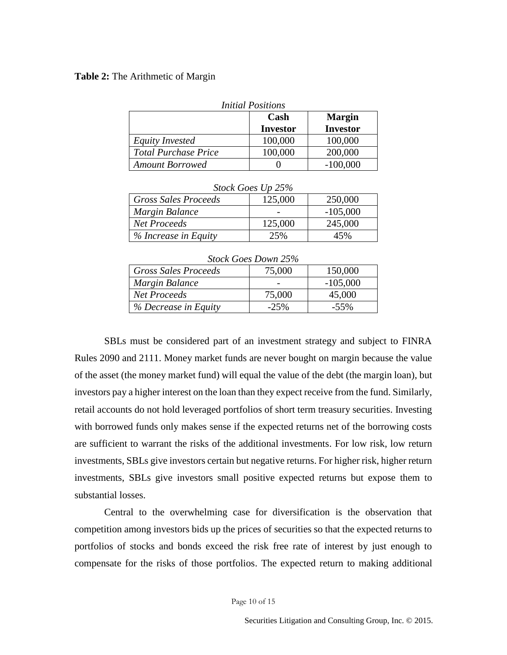#### **Table 2:** The Arithmetic of Margin

| <b>Initial Positions</b>    |                 |                 |  |  |
|-----------------------------|-----------------|-----------------|--|--|
|                             | Cash            | <b>Margin</b>   |  |  |
|                             | <b>Investor</b> | <b>Investor</b> |  |  |
| Equity Invested             | 100,000         | 100,000         |  |  |
| <b>Total Purchase Price</b> | 100,000         | 200,000         |  |  |
| <b>Amount Borrowed</b>      |                 | $-100,000$      |  |  |

| Stock Goes Up 25%           |         |            |  |  |
|-----------------------------|---------|------------|--|--|
| <b>Gross Sales Proceeds</b> | 125,000 | 250,000    |  |  |
| Margin Balance              |         | $-105,000$ |  |  |
| Net Proceeds                | 125,000 | 245,000    |  |  |
| % Increase in Equity        | 25%     | 45%        |  |  |

#### *Stock Goes Up 25%*

| Stock Goes Down 25%  |        |            |  |  |
|----------------------|--------|------------|--|--|
| Gross Sales Proceeds | 75,000 | 150,000    |  |  |
| Margin Balance       |        | $-105,000$ |  |  |
| <b>Net Proceeds</b>  | 75,000 | 45,000     |  |  |
| % Decrease in Equity | $-25%$ | $-55\%$    |  |  |

#### *Stock Goes Down 25%*

SBLs must be considered part of an investment strategy and subject to FINRA Rules 2090 and 2111. Money market funds are never bought on margin because the value of the asset (the money market fund) will equal the value of the debt (the margin loan), but investors pay a higher interest on the loan than they expect receive from the fund. Similarly, retail accounts do not hold leveraged portfolios of short term treasury securities. Investing with borrowed funds only makes sense if the expected returns net of the borrowing costs are sufficient to warrant the risks of the additional investments. For low risk, low return investments, SBLs give investors certain but negative returns. For higher risk, higher return investments, SBLs give investors small positive expected returns but expose them to substantial losses.

Central to the overwhelming case for diversification is the observation that competition among investors bids up the prices of securities so that the expected returns to portfolios of stocks and bonds exceed the risk free rate of interest by just enough to compensate for the risks of those portfolios. The expected return to making additional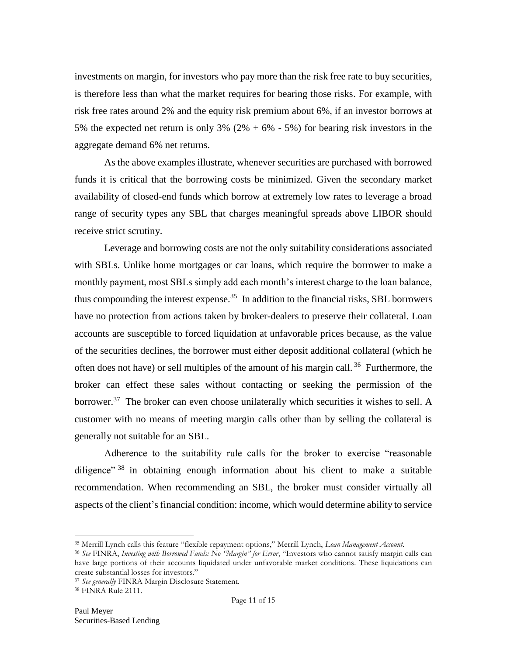investments on margin, for investors who pay more than the risk free rate to buy securities, is therefore less than what the market requires for bearing those risks. For example, with risk free rates around 2% and the equity risk premium about 6%, if an investor borrows at 5% the expected net return is only 3%  $(2\% + 6\% - 5\%)$  for bearing risk investors in the aggregate demand 6% net returns.

As the above examples illustrate, whenever securities are purchased with borrowed funds it is critical that the borrowing costs be minimized. Given the secondary market availability of closed-end funds which borrow at extremely low rates to leverage a broad range of security types any SBL that charges meaningful spreads above LIBOR should receive strict scrutiny.

Leverage and borrowing costs are not the only suitability considerations associated with SBLs. Unlike home mortgages or car loans, which require the borrower to make a monthly payment, most SBLs simply add each month's interest charge to the loan balance, thus compounding the interest expense.<sup>35</sup> In addition to the financial risks, SBL borrowers have no protection from actions taken by broker-dealers to preserve their collateral. Loan accounts are susceptible to forced liquidation at unfavorable prices because, as the value of the securities declines, the borrower must either deposit additional collateral (which he often does not have) or sell multiples of the amount of his margin call.<sup>36</sup> Furthermore, the broker can effect these sales without contacting or seeking the permission of the borrower.<sup>37</sup> The broker can even choose unilaterally which securities it wishes to sell. A customer with no means of meeting margin calls other than by selling the collateral is generally not suitable for an SBL.

Adherence to the suitability rule calls for the broker to exercise "reasonable diligence"  $38$  in obtaining enough information about his client to make a suitable recommendation. When recommending an SBL, the broker must consider virtually all aspects of the client's financial condition: income, which would determine ability to service

<sup>35</sup> Merrill Lynch calls this feature "flexible repayment options," Merrill Lynch, *Loan Management Account*.

<sup>36</sup> *See* FINRA, *Investing with Borrowed Funds: No "Margin" for Error*, "Investors who cannot satisfy margin calls can have large portions of their accounts liquidated under unfavorable market conditions. These liquidations can create substantial losses for investors."

<sup>37</sup> *See generally* FINRA Margin Disclosure Statement.

<sup>38</sup> FINRA Rule 2111.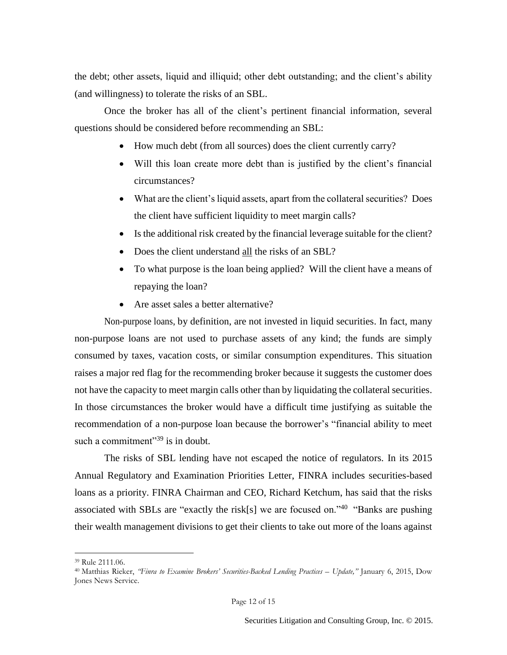the debt; other assets, liquid and illiquid; other debt outstanding; and the client's ability (and willingness) to tolerate the risks of an SBL.

Once the broker has all of the client's pertinent financial information, several questions should be considered before recommending an SBL:

- How much debt (from all sources) does the client currently carry?
- Will this loan create more debt than is justified by the client's financial circumstances?
- What are the client's liquid assets, apart from the collateral securities? Does the client have sufficient liquidity to meet margin calls?
- Is the additional risk created by the financial leverage suitable for the client?
- Does the client understand all the risks of an SBL?
- To what purpose is the loan being applied? Will the client have a means of repaying the loan?
- Are asset sales a better alternative?

Non-purpose loans, by definition, are not invested in liquid securities. In fact, many non-purpose loans are not used to purchase assets of any kind; the funds are simply consumed by taxes, vacation costs, or similar consumption expenditures. This situation raises a major red flag for the recommending broker because it suggests the customer does not have the capacity to meet margin calls other than by liquidating the collateral securities. In those circumstances the broker would have a difficult time justifying as suitable the recommendation of a non-purpose loan because the borrower's "financial ability to meet such a commitment"<sup>39</sup> is in doubt.

The risks of SBL lending have not escaped the notice of regulators. In its 2015 Annual Regulatory and Examination Priorities Letter, FINRA includes securities-based loans as a priority. FINRA Chairman and CEO, Richard Ketchum, has said that the risks associated with SBLs are "exactly the risk[s] we are focused on." $40$  "Banks are pushing their wealth management divisions to get their clients to take out more of the loans against

<sup>39</sup> Rule 2111.06.

<sup>40</sup> Matthias Rieker, *"Finra to Examine Brokers' Securities-Backed Lending Practices – Update,"* January 6, 2015, Dow Jones News Service.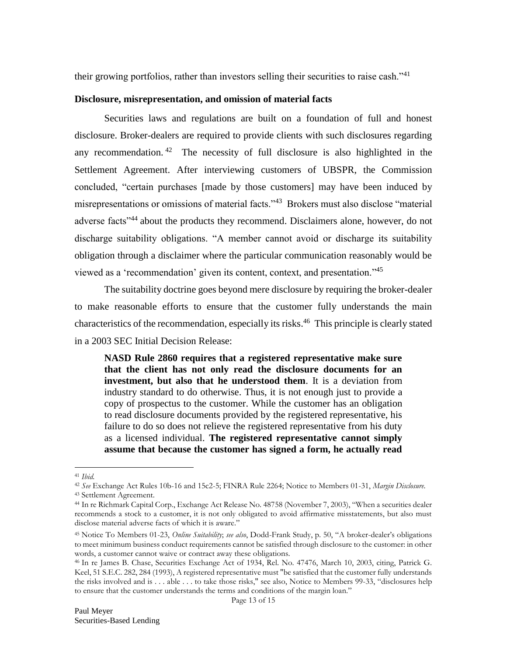their growing portfolios, rather than investors selling their securities to raise cash."<sup>41</sup>

## **Disclosure, misrepresentation, and omission of material facts**

Securities laws and regulations are built on a foundation of full and honest disclosure. Broker-dealers are required to provide clients with such disclosures regarding any recommendation.<sup>42</sup> The necessity of full disclosure is also highlighted in the Settlement Agreement. After interviewing customers of UBSPR, the Commission concluded, "certain purchases [made by those customers] may have been induced by misrepresentations or omissions of material facts."<sup>43</sup> Brokers must also disclose "material adverse facts"<sup>44</sup> about the products they recommend. Disclaimers alone, however, do not discharge suitability obligations. "A member cannot avoid or discharge its suitability obligation through a disclaimer where the particular communication reasonably would be viewed as a 'recommendation' given its content, context, and presentation." 45

The suitability doctrine goes beyond mere disclosure by requiring the broker-dealer to make reasonable efforts to ensure that the customer fully understands the main characteristics of the recommendation, especially its risks. 46 This principle is clearly stated in a 2003 SEC Initial Decision Release:

**NASD Rule 2860 requires that a registered representative make sure that the client has not only read the disclosure documents for an investment, but also that he understood them**. It is a deviation from industry standard to do otherwise. Thus, it is not enough just to provide a copy of prospectus to the customer. While the customer has an obligation to read disclosure documents provided by the registered representative, his failure to do so does not relieve the registered representative from his duty as a licensed individual. **The registered representative cannot simply assume that because the customer has signed a form, he actually read** 

 $\overline{a}$ <sup>41</sup> *Ibid.*

<sup>42</sup> *See* Exchange Act Rules 10b-16 and 15c2-5; FINRA Rule 2264; Notice to Members 01-31, *Margin Disclosure.* <sup>43</sup> Settlement Agreement.

<sup>44</sup> In re Richmark Capital Corp., Exchange Act Release No. 48758 (November 7, 2003), "When a securities dealer recommends a stock to a customer, it is not only obligated to avoid affirmative misstatements, but also must disclose material adverse facts of which it is aware."

<sup>45</sup> Notice To Members 01-23, *Online Suitability*; *see also*, Dodd-Frank Study, p. 50, "A broker-dealer's obligations to meet minimum business conduct requirements cannot be satisfied through disclosure to the customer: in other words, a customer cannot waive or contract away these obligations.

<sup>46</sup> In re James B. Chase, Securities Exchange Act of 1934, Rel. No. 47476, March 10, 2003, citing, Patrick G. Keel, 51 S.E.C. 282, 284 (1993), A registered representative must "be satisfied that the customer fully understands the risks involved and is . . . able . . . to take those risks," see also, Notice to Members 99-33, "disclosures help to ensure that the customer understands the terms and conditions of the margin loan."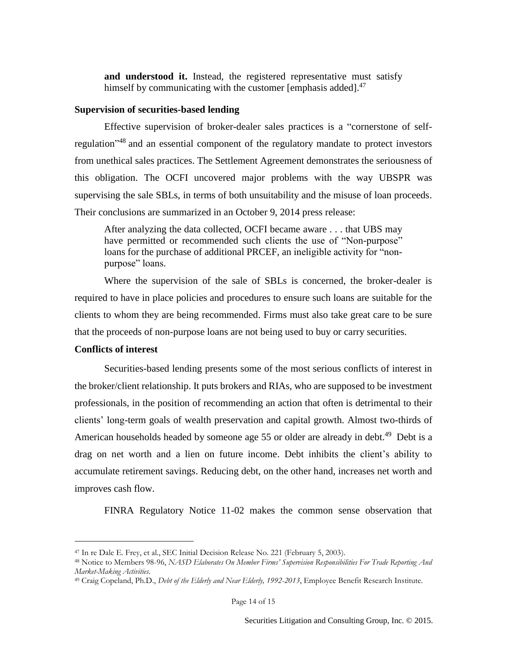**and understood it.** Instead, the registered representative must satisfy himself by communicating with the customer [emphasis added].<sup>47</sup>

## **Supervision of securities-based lending**

Effective supervision of broker-dealer sales practices is a "cornerstone of selfregulation<sup>348</sup> and an essential component of the regulatory mandate to protect investors from unethical sales practices. The Settlement Agreement demonstrates the seriousness of this obligation. The OCFI uncovered major problems with the way UBSPR was supervising the sale SBLs, in terms of both unsuitability and the misuse of loan proceeds. Their conclusions are summarized in an October 9, 2014 press release:

After analyzing the data collected, OCFI became aware . . . that UBS may have permitted or recommended such clients the use of "Non-purpose" loans for the purchase of additional PRCEF, an ineligible activity for "nonpurpose" loans.

Where the supervision of the sale of SBLs is concerned, the broker-dealer is required to have in place policies and procedures to ensure such loans are suitable for the clients to whom they are being recommended. Firms must also take great care to be sure that the proceeds of non-purpose loans are not being used to buy or carry securities.

# **Conflicts of interest**

l

Securities-based lending presents some of the most serious conflicts of interest in the broker/client relationship. It puts brokers and RIAs, who are supposed to be investment professionals, in the position of recommending an action that often is detrimental to their clients' long-term goals of wealth preservation and capital growth. Almost two-thirds of American households headed by someone age 55 or older are already in debt.<sup>49</sup> Debt is a drag on net worth and a lien on future income. Debt inhibits the client's ability to accumulate retirement savings. Reducing debt, on the other hand, increases net worth and improves cash flow.

FINRA Regulatory Notice 11-02 makes the common sense observation that

<sup>47</sup> In re Dale E. Frey, et al., SEC Initial Decision Release No. 221 (February 5, 2003).

<sup>48</sup> Notice to Members 98-96, *NASD Elaborates On Member Firms' Supervision Responsibilities For Trade Reporting And Market-Making Activities*.

<sup>49</sup> Craig Copeland, Ph.D., *Debt of the Elderly and Near Elderly, 1992-2013*, Employee Benefit Research Institute.